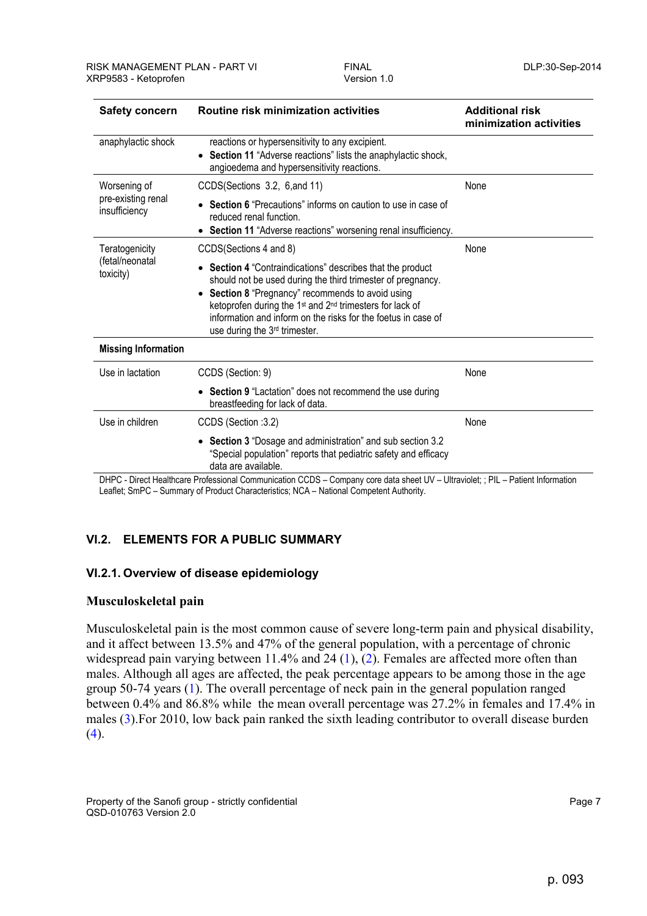| <b>Safety concern</b>                          | <b>Routine risk minimization activities</b>                                                                                                                                                                                                                                                                                                                                  | <b>Additional risk</b><br>minimization activities |
|------------------------------------------------|------------------------------------------------------------------------------------------------------------------------------------------------------------------------------------------------------------------------------------------------------------------------------------------------------------------------------------------------------------------------------|---------------------------------------------------|
| anaphylactic shock                             | reactions or hypersensitivity to any excipient.<br>Section 11 "Adverse reactions" lists the anaphylactic shock,<br>angioedema and hypersensitivity reactions.                                                                                                                                                                                                                |                                                   |
| Worsening of                                   | CCDS(Sections 3.2, 6, and 11)                                                                                                                                                                                                                                                                                                                                                | None                                              |
| pre-existing renal<br>insufficiency            | • Section 6 "Precautions" informs on caution to use in case of<br>reduced renal function.<br>• Section 11 "Adverse reactions" worsening renal insufficiency.                                                                                                                                                                                                                 |                                                   |
| Teratogenicity<br>(fetal/neonatal<br>toxicity) | CCDS(Sections 4 and 8)                                                                                                                                                                                                                                                                                                                                                       | None                                              |
|                                                | Section 4 "Contraindications" describes that the product<br>should not be used during the third trimester of pregnancy.<br>Section 8 "Pregnancy" recommends to avoid using<br>ketoprofen during the 1 <sup>st</sup> and 2 <sup>nd</sup> trimesters for lack of<br>information and inform on the risks for the foetus in case of<br>use during the 3 <sup>rd</sup> trimester. |                                                   |
| <b>Missing Information</b>                     |                                                                                                                                                                                                                                                                                                                                                                              |                                                   |
| Use in lactation                               | CCDS (Section: 9)                                                                                                                                                                                                                                                                                                                                                            | None                                              |
|                                                | • Section 9 "Lactation" does not recommend the use during<br>breastfeeding for lack of data.                                                                                                                                                                                                                                                                                 |                                                   |
| Use in children                                | CCDS (Section : 3.2)                                                                                                                                                                                                                                                                                                                                                         | None                                              |
|                                                | • Section 3 "Dosage and administration" and sub section 3.2<br>"Special population" reports that pediatric safety and efficacy<br>data are available.                                                                                                                                                                                                                        |                                                   |

DHPC - Direct Healthcare Professional Communication CCDS – Company core data sheet UV – Ultraviolet; ; PIL – Patient Information Leaflet; SmPC – Summary of Product Characteristics; NCA – National Competent Authority.

# **VI.2. ELEMENTS FOR A PUBLIC SUMMARY**

#### **VI.2.1. Overview of disease epidemiology**

# **Musculoskeletal pain**

Musculoskeletal pain is the most common cause of severe long-term pain and physical disability, and it affect between 13.5% and 47% of the general population, with a percentage of chronic widespread pain varying between 11.4% and 24  $(1)$ ,  $(2)$ . Females are affected more often than males. Although all ages are affected, the peak percentage appears to be among those in the age group 50-74 years (1). The overall percentage of neck pain in the general population ranged between 0.4% and 86.8% while the mean overall percentage was 27.2% in females and 17.4% in males (3).For 2010, low back pain ranked the sixth leading contributor to overall disease burden  $(4).$ 

Property of the Sanofi group - strictly confidential Page 7 and 2008 and 2008 and 2008 and 2008 and 2008 and 2008 and 2008 and 2008 and 2008 and 2008 and 2008 and 2008 and 2008 and 2008 and 2008 and 2008 and 2008 and 2008 QSD-010763 Version 2.0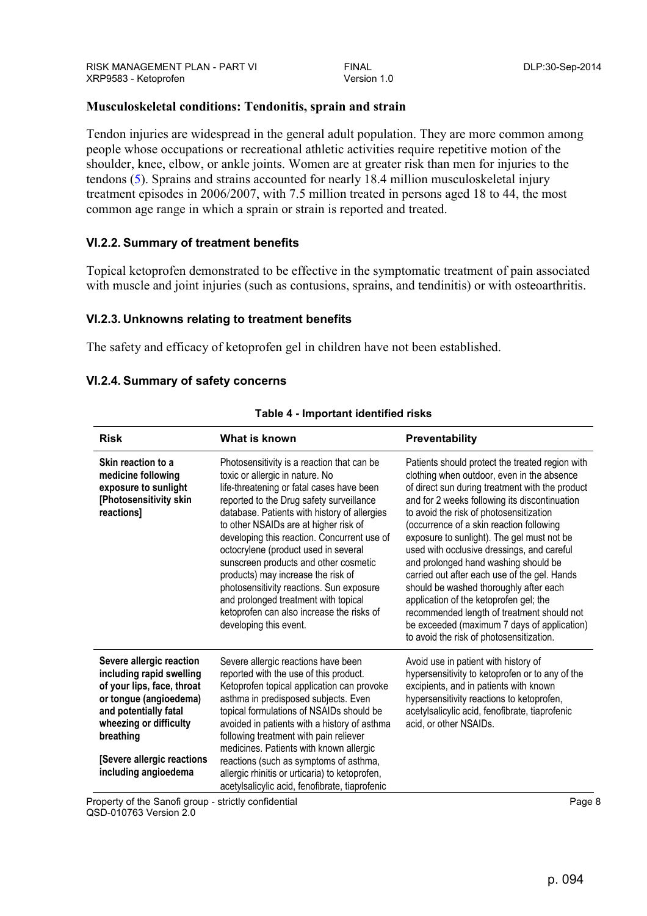# **Musculoskeletal conditions: Tendonitis, sprain and strain**

Tendon injuries are widespread in the general adult population. They are more common among people whose occupations or recreational athletic activities require repetitive motion of the shoulder, knee, elbow, or ankle joints. Women are at greater risk than men for injuries to the tendons (5). Sprains and strains accounted for nearly 18.4 million musculoskeletal injury treatment episodes in 2006/2007, with 7.5 million treated in persons aged 18 to 44, the most common age range in which a sprain or strain is reported and treated.

# **VI.2.2. Summary of treatment benefits**

Topical ketoprofen demonstrated to be effective in the symptomatic treatment of pain associated with muscle and joint injuries (such as contusions, sprains, and tendinitis) or with osteoarthritis.

# **VI.2.3. Unknowns relating to treatment benefits**

The safety and efficacy of ketoprofen gel in children have not been established.

# **VI.2.4. Summary of safety concerns**

| <b>Risk</b>                                                                                                                                                                                                                        | What is known                                                                                                                                                                                                                                                                                                                                                                                                                                                                                                                                                                                    | Preventability                                                                                                                                                                                                                                                                                                                                                                                                                                                                                                                                                                                                                                                                                            |
|------------------------------------------------------------------------------------------------------------------------------------------------------------------------------------------------------------------------------------|--------------------------------------------------------------------------------------------------------------------------------------------------------------------------------------------------------------------------------------------------------------------------------------------------------------------------------------------------------------------------------------------------------------------------------------------------------------------------------------------------------------------------------------------------------------------------------------------------|-----------------------------------------------------------------------------------------------------------------------------------------------------------------------------------------------------------------------------------------------------------------------------------------------------------------------------------------------------------------------------------------------------------------------------------------------------------------------------------------------------------------------------------------------------------------------------------------------------------------------------------------------------------------------------------------------------------|
| Skin reaction to a<br>medicine following<br>exposure to sunlight<br>[Photosensitivity skin<br>reactions]                                                                                                                           | Photosensitivity is a reaction that can be<br>toxic or allergic in nature. No<br>life-threatening or fatal cases have been<br>reported to the Drug safety surveillance<br>database. Patients with history of allergies<br>to other NSAIDs are at higher risk of<br>developing this reaction. Concurrent use of<br>octocrylene (product used in several<br>sunscreen products and other cosmetic<br>products) may increase the risk of<br>photosensitivity reactions. Sun exposure<br>and prolonged treatment with topical<br>ketoprofen can also increase the risks of<br>developing this event. | Patients should protect the treated region with<br>clothing when outdoor, even in the absence<br>of direct sun during treatment with the product<br>and for 2 weeks following its discontinuation<br>to avoid the risk of photosensitization<br>(occurrence of a skin reaction following<br>exposure to sunlight). The gel must not be<br>used with occlusive dressings, and careful<br>and prolonged hand washing should be<br>carried out after each use of the gel. Hands<br>should be washed thoroughly after each<br>application of the ketoprofen gel; the<br>recommended length of treatment should not<br>be exceeded (maximum 7 days of application)<br>to avoid the risk of photosensitization. |
| Severe allergic reaction<br>including rapid swelling<br>of your lips, face, throat<br>or tongue (angioedema)<br>and potentially fatal<br>wheezing or difficulty<br>breathing<br>[Severe allergic reactions<br>including angioedema | Severe allergic reactions have been<br>reported with the use of this product.<br>Ketoprofen topical application can provoke<br>asthma in predisposed subjects. Even<br>topical formulations of NSAIDs should be<br>avoided in patients with a history of asthma<br>following treatment with pain reliever<br>medicines. Patients with known allergic<br>reactions (such as symptoms of asthma,<br>allergic rhinitis or urticaria) to ketoprofen,<br>acetylsalicylic acid, fenofibrate, tiaprofenic                                                                                               | Avoid use in patient with history of<br>hypersensitivity to ketoprofen or to any of the<br>excipients, and in patients with known<br>hypersensitivity reactions to ketoprofen,<br>acetylsalicylic acid, fenofibrate, tiaprofenic<br>acid, or other NSAIDs.                                                                                                                                                                                                                                                                                                                                                                                                                                                |

#### **Table 4 - Important identified risks**

QSD-010763 Version 2.0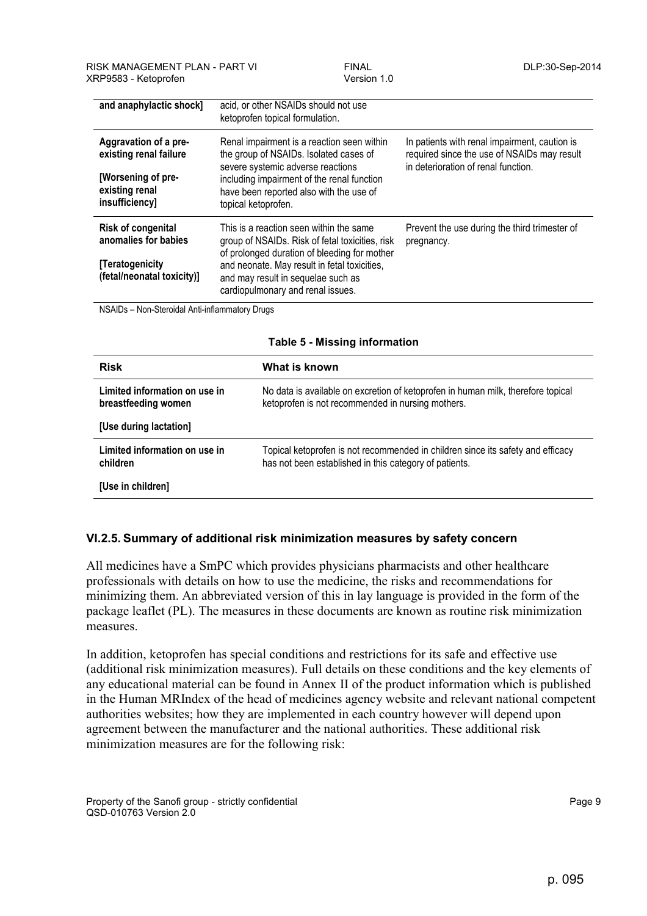| and anaphylactic shock]                                                                                   | acid, or other NSAIDs should not use<br>ketoprofen topical formulation.                                                                                                                                                                                               |                                                                                                                                     |
|-----------------------------------------------------------------------------------------------------------|-----------------------------------------------------------------------------------------------------------------------------------------------------------------------------------------------------------------------------------------------------------------------|-------------------------------------------------------------------------------------------------------------------------------------|
| Aggravation of a pre-<br>existing renal failure<br>[Worsening of pre-<br>existing renal<br>insufficiency] | Renal impairment is a reaction seen within<br>the group of NSAIDs. Isolated cases of<br>severe systemic adverse reactions<br>including impairment of the renal function<br>have been reported also with the use of<br>topical ketoprofen.                             | In patients with renal impairment, caution is<br>required since the use of NSAIDs may result<br>in deterioration of renal function. |
| Risk of congenital<br>anomalies for babies<br>[Teratogenicity<br>(fetal/neonatal toxicity)]               | This is a reaction seen within the same<br>group of NSAIDs. Risk of fetal toxicities, risk<br>of prolonged duration of bleeding for mother<br>and neonate. May result in fetal toxicities,<br>and may result in sequelae such as<br>cardiopulmonary and renal issues. | Prevent the use during the third trimester of<br>pregnancy.                                                                         |

NSAIDs – Non-Steroidal Anti-inflammatory Drugs

| Table 5 - Missing Information                        |                                                                                                                                           |  |
|------------------------------------------------------|-------------------------------------------------------------------------------------------------------------------------------------------|--|
| <b>Risk</b>                                          | What is known                                                                                                                             |  |
| Limited information on use in<br>breastfeeding women | No data is available on excretion of ketoprofen in human milk, therefore topical<br>ketoprofen is not recommended in nursing mothers.     |  |
| [Use during lactation]                               |                                                                                                                                           |  |
| Limited information on use in<br>children            | Topical ketoprofen is not recommended in children since its safety and efficacy<br>has not been established in this category of patients. |  |
| [Use in children]                                    |                                                                                                                                           |  |

#### **Table 5 - Missing information**

# **VI.2.5. Summary of additional risk minimization measures by safety concern**

All medicines have a SmPC which provides physicians pharmacists and other healthcare professionals with details on how to use the medicine, the risks and recommendations for minimizing them. An abbreviated version of this in lay language is provided in the form of the package leaflet (PL). The measures in these documents are known as routine risk minimization measures.

In addition, ketoprofen has special conditions and restrictions for its safe and effective use (additional risk minimization measures). Full details on these conditions and the key elements of any educational material can be found in Annex II of the product information which is published in the Human MRIndex of the head of medicines agency website and relevant national competent authorities websites; how they are implemented in each country however will depend upon agreement between the manufacturer and the national authorities. These additional risk minimization measures are for the following risk: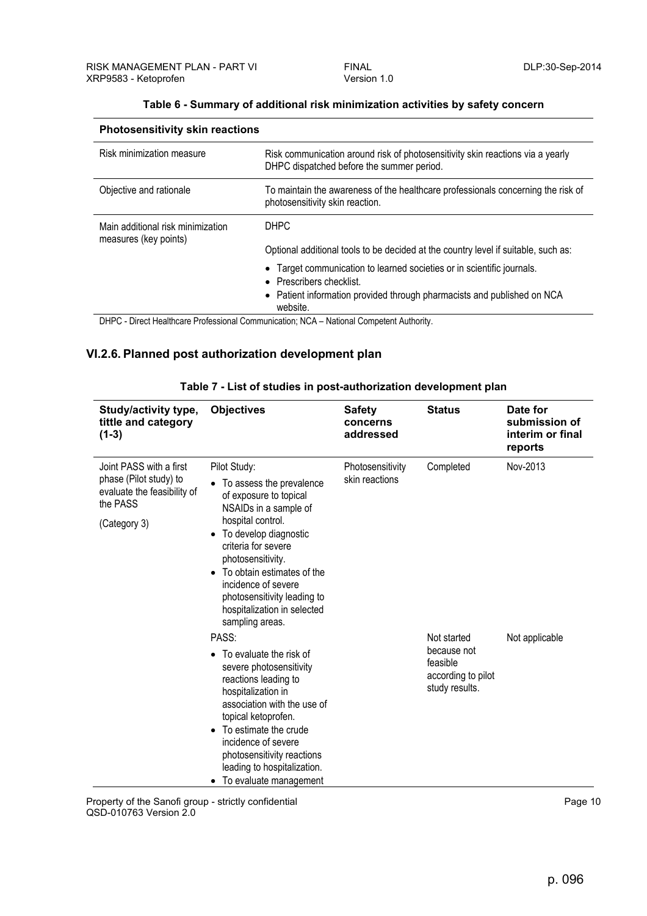| <b>Photosensitivity skin reactions</b> |                                                                                                                             |  |  |
|----------------------------------------|-----------------------------------------------------------------------------------------------------------------------------|--|--|
| Risk minimization measure              | Risk communication around risk of photosensitivity skin reactions via a yearly<br>DHPC dispatched before the summer period. |  |  |
| Objective and rationale                | To maintain the awareness of the healthcare professionals concerning the risk of<br>photosensitivity skin reaction.         |  |  |
| Main additional risk minimization      | <b>DHPC</b>                                                                                                                 |  |  |
| measures (key points)                  | Optional additional tools to be decided at the country level if suitable, such as:                                          |  |  |
|                                        | Target communication to learned societies or in scientific journals.<br>• Prescribers checklist.                            |  |  |
|                                        | • Patient information provided through pharmacists and published on NCA<br>website.                                         |  |  |

#### **Table 6 - Summary of additional risk minimization activities by safety concern**

DHPC - Direct Healthcare Professional Communication; NCA – National Competent Authority.

### **VI.2.6. Planned post authorization development plan**

| Study/activity type,<br>tittle and category<br>$(1-3)$                                                       | <b>Objectives</b>                                                                                                                                                                                                                                                                                                                        | <b>Safety</b><br>concerns<br>addressed | <b>Status</b>                                                                  | Date for<br>submission of<br>interim or final<br>reports |
|--------------------------------------------------------------------------------------------------------------|------------------------------------------------------------------------------------------------------------------------------------------------------------------------------------------------------------------------------------------------------------------------------------------------------------------------------------------|----------------------------------------|--------------------------------------------------------------------------------|----------------------------------------------------------|
| Joint PASS with a first<br>phase (Pilot study) to<br>evaluate the feasibility of<br>the PASS<br>(Category 3) | Pilot Study:<br>To assess the prevalence<br>of exposure to topical<br>NSAIDs in a sample of<br>hospital control.<br>To develop diagnostic<br>criteria for severe<br>photosensitivity.<br>To obtain estimates of the<br>$\bullet$<br>incidence of severe<br>photosensitivity leading to<br>hospitalization in selected<br>sampling areas. | Photosensitivity<br>skin reactions     | Completed                                                                      | Nov-2013                                                 |
|                                                                                                              | PASS:<br>To evaluate the risk of<br>severe photosensitivity<br>reactions leading to<br>hospitalization in<br>association with the use of<br>topical ketoprofen.<br>To estimate the crude<br>incidence of severe<br>photosensitivity reactions<br>leading to hospitalization.<br>To evaluate management                                   |                                        | Not started<br>because not<br>feasible<br>according to pilot<br>study results. | Not applicable                                           |

| Table 7 - List of studies in post-authorization development plan |  |  |
|------------------------------------------------------------------|--|--|
|------------------------------------------------------------------|--|--|

Property of the Sanofi group - strictly confidential **Property and COV** Page 10 QSD-010763 Version 2.0